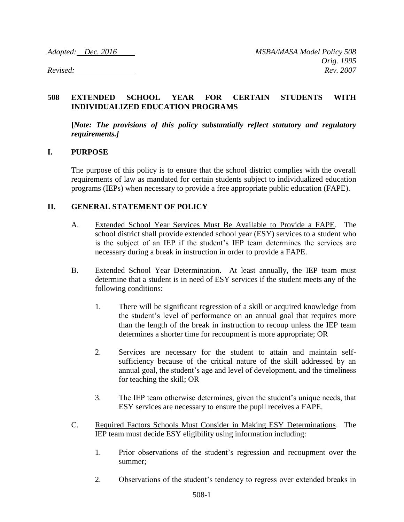## **508 EXTENDED SCHOOL YEAR FOR CERTAIN STUDENTS WITH INDIVIDUALIZED EDUCATION PROGRAMS**

**[***Note: The provisions of this policy substantially reflect statutory and regulatory requirements.]*

## **I. PURPOSE**

The purpose of this policy is to ensure that the school district complies with the overall requirements of law as mandated for certain students subject to individualized education programs (IEPs) when necessary to provide a free appropriate public education (FAPE).

## **II. GENERAL STATEMENT OF POLICY**

- A. Extended School Year Services Must Be Available to Provide a FAPE. The school district shall provide extended school year (ESY) services to a student who is the subject of an IEP if the student's IEP team determines the services are necessary during a break in instruction in order to provide a FAPE.
- B. Extended School Year Determination. At least annually, the IEP team must determine that a student is in need of ESY services if the student meets any of the following conditions:
	- 1. There will be significant regression of a skill or acquired knowledge from the student's level of performance on an annual goal that requires more than the length of the break in instruction to recoup unless the IEP team determines a shorter time for recoupment is more appropriate; OR
	- 2. Services are necessary for the student to attain and maintain selfsufficiency because of the critical nature of the skill addressed by an annual goal, the student's age and level of development, and the timeliness for teaching the skill; OR
	- 3. The IEP team otherwise determines, given the student's unique needs, that ESY services are necessary to ensure the pupil receives a FAPE.
- C. Required Factors Schools Must Consider in Making ESY Determinations. The IEP team must decide ESY eligibility using information including:
	- 1. Prior observations of the student's regression and recoupment over the summer;
	- 2. Observations of the student's tendency to regress over extended breaks in